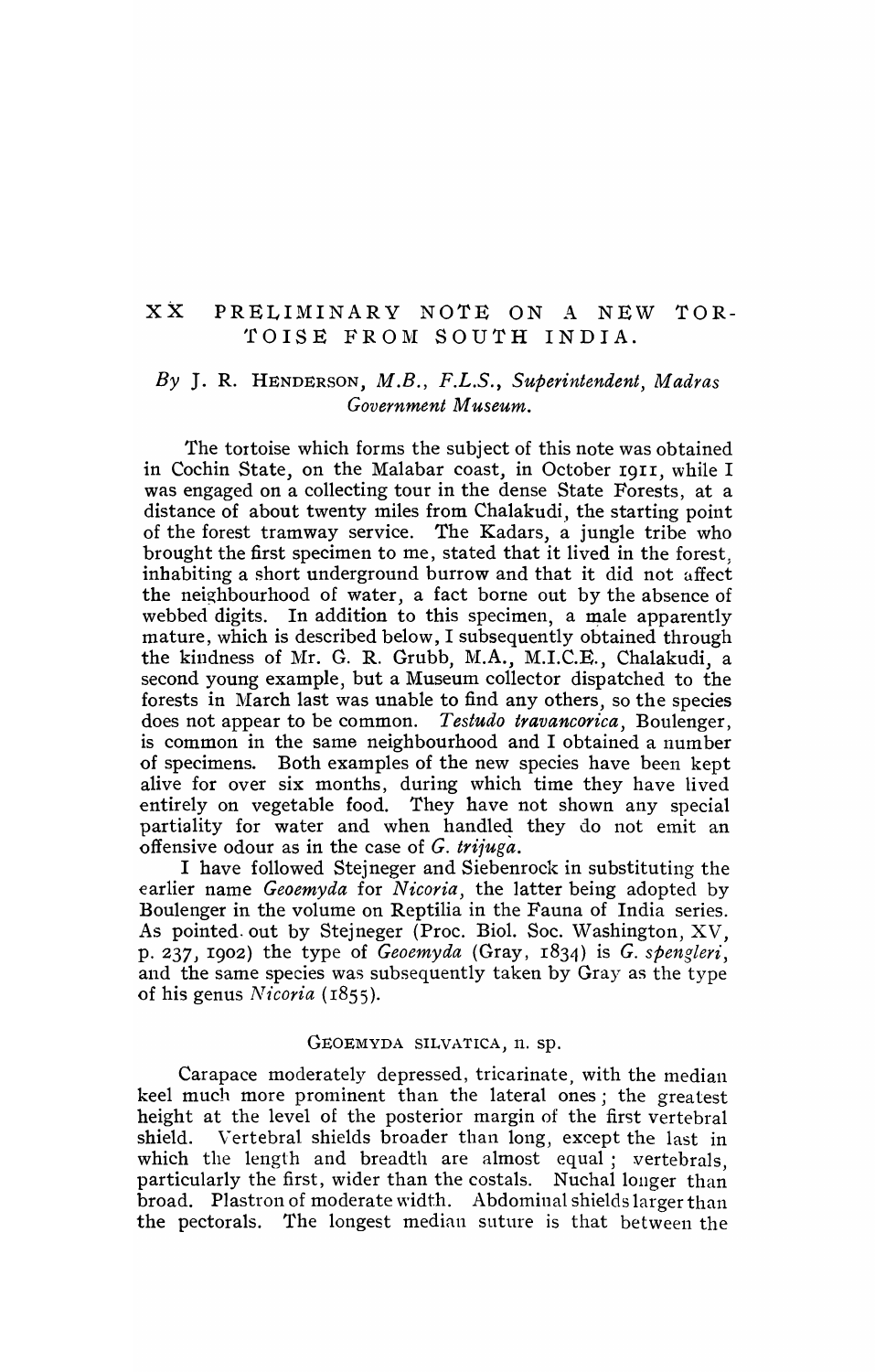## XX PRELIMINARY NOTE ON A NEW TOR- TOISE FROM SOUTH INDIA.

## *By* J. R. HENDERSON, *M.B., F.L.S., Superintendent, Madras Government Museum.*

The tortoise which forms the subject of this note was obtained in Cochin State, on the Malabar coast, in October I9II, while I was engaged on a collecting tour in the dense State Forests, at a distance of about twenty miles from Chalakudi, the starting point of the forest tramway service. The Kadars, a jungle tribe who brought the first specimen to me, stated that it lived in the forest; inhabiting a short underground burrow and that it did not affect the neighbourhood of water, a fact borne out by the absence of webbed digits. In addition to this specimen, a male apparently mature, which is described below, I subsequently obtained through the kindness of Mr. G. R. Grubb, M.A., M.I.C.E., Chalakudi, a second young example, but a Museum collector dispatched to the forests in March last was unable to find any others, so the species does not appear to be common. *Testudo travancorica,* Boulenger, is common in the same neighbourhood and I obtained a number of specimens. Both examples of the new species have been kept alive for over six months, during which time they have lived entirely on vegetable food. They have not shown any special partiality for water and when handled they do not emit an offensive odour as in the case of G. *triiuga.* 

I have followed Stejneger and Siebenrock in substituting the earlier name *Geoemyda* for *Nicoria,* the latter being adopted by Boulenger in the volume on Reptilia in the Fauna of India series. As pointed. out by Stejneger (Proc. BioI. Soc. Washington, XV, p. 237, I902) the type of *Geoemyda* (Gray, I834) is *G. spengleri,*  and the same species was subsequently taken by Gray as the type of his genus *Nicoria* (1855).

## GEOEMYDA SILVATICA, n. sp.

Carapace moderately depressed, tricarinate, with the median keel much more prominent than the lateral ones; the greatest height at the level of the posterior margin of the first vertebral shield. Vertebral shields broader than long, except the last in which the length and breadth are almost equal; vertebrals, particularly the first, wider than the costals. Nuchal longer than broad. Plastron of moderate width. Abdominal shields larger than the pectorals. The longest median suture is that between the